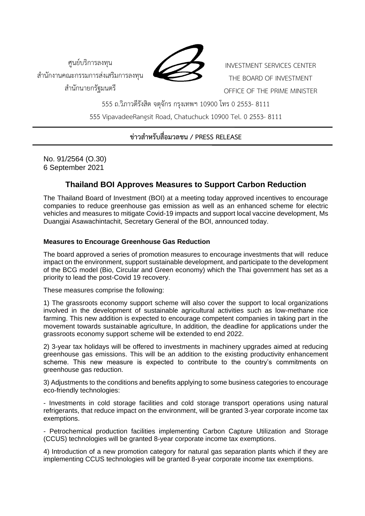ศูนย์บริการลงทุน สำนักงานคณะกรรมการส่งเสริมการลงทุน สำนักนายกรัฐมนตรี



INVESTMENT SERVICES CENTER THE BOARD OF INVESTMENT OFFICE OF THE PRIME MINISTER

555 ถ.วิภาวดีรังสิต จตุจักร กรุงเทพฯ 10900 โทร 0 2553- 8111 555 VipavadeeRangsit Road, Chatuchuck 10900 Tel. 0 2553- 8111

## **ข่าวสำหรับสื่อมวลชน / PRESS RELEASE**

No. 91/2564 (O.30) 6 September 2021

# **Thailand BOI Approves Measures to Support Carbon Reduction**

The Thailand Board of Investment (BOI) at a meeting today approved incentives to encourage companies to reduce greenhouse gas emission as well as an enhanced scheme for electric vehicles and measures to mitigate Covid-19 impacts and support local vaccine development, Ms Duangjai Asawachintachit, Secretary General of the BOI, announced today.

### **Measures to Encourage Greenhouse Gas Reduction**

The board approved a series of promotion measures to encourage investments that will reduce impact on the environment, support sustainable development, and participate to the development of the BCG model (Bio, Circular and Green economy) which the Thai government has set as a priority to lead the post-Covid 19 recovery.

These measures comprise the following:

1) The grassroots economy support scheme will also cover the support to local organizations involved in the development of sustainable agricultural activities such as low-methane rice farming. This new addition is expected to encourage competent companies in taking part in the movement towards sustainable agriculture, In addition, the deadline for applications under the grassroots economy support scheme will be extended to end 2022.

2) 3-year tax holidays will be offered to investments in machinery upgrades aimed at reducing greenhouse gas emissions. This will be an addition to the existing productivity enhancement scheme. This new measure is expected to contribute to the country's commitments on greenhouse gas reduction.

3) Adjustments to the conditions and benefits applying to some business categories to encourage eco-friendly technologies:

- Investments in cold storage facilities and cold storage transport operations using natural refrigerants, that reduce impact on the environment, will be granted 3-year corporate income tax exemptions.

- Petrochemical production facilities implementing Carbon Capture Utilization and Storage (CCUS) technologies will be granted 8-year corporate income tax exemptions.

4) Introduction of a new promotion category for natural gas separation plants which if they are implementing CCUS technologies will be granted 8-year corporate income tax exemptions.